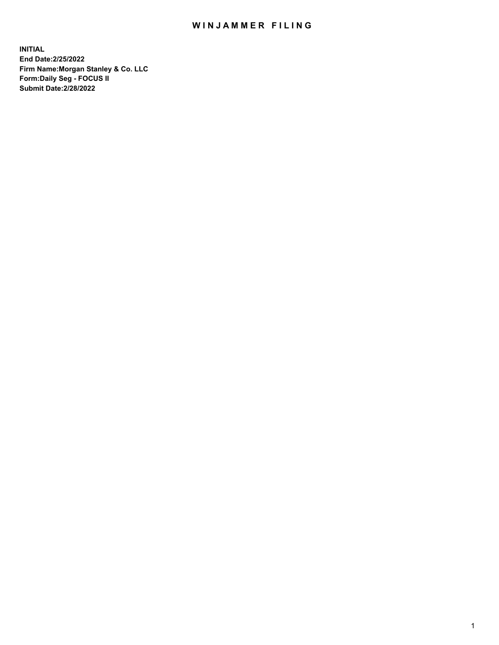## WIN JAMMER FILING

**INITIAL End Date:2/25/2022 Firm Name:Morgan Stanley & Co. LLC Form:Daily Seg - FOCUS II Submit Date:2/28/2022**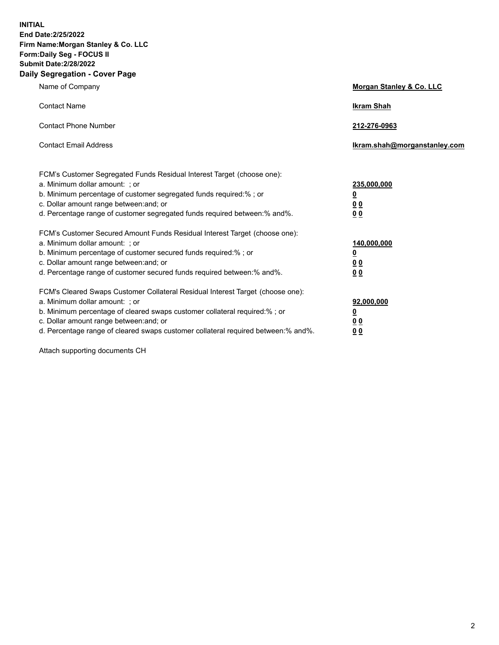**INITIAL End Date:2/25/2022 Firm Name:Morgan Stanley & Co. LLC Form:Daily Seg - FOCUS II Submit Date:2/28/2022 Daily Segregation - Cover Page**

| Name of Company                                                                                                                                                                                                                                                                                                                | Morgan Stanley & Co. LLC                                |
|--------------------------------------------------------------------------------------------------------------------------------------------------------------------------------------------------------------------------------------------------------------------------------------------------------------------------------|---------------------------------------------------------|
| <b>Contact Name</b>                                                                                                                                                                                                                                                                                                            | <b>Ikram Shah</b>                                       |
| <b>Contact Phone Number</b>                                                                                                                                                                                                                                                                                                    | 212-276-0963                                            |
| <b>Contact Email Address</b>                                                                                                                                                                                                                                                                                                   | Ikram.shah@morganstanley.com                            |
| FCM's Customer Segregated Funds Residual Interest Target (choose one):<br>a. Minimum dollar amount: ; or<br>b. Minimum percentage of customer segregated funds required:% ; or<br>c. Dollar amount range between: and; or<br>d. Percentage range of customer segregated funds required between:% and%.                         | 235,000,000<br><u>0</u><br><u>00</u><br><u>00</u>       |
| FCM's Customer Secured Amount Funds Residual Interest Target (choose one):<br>a. Minimum dollar amount: ; or<br>b. Minimum percentage of customer secured funds required:%; or<br>c. Dollar amount range between: and; or<br>d. Percentage range of customer secured funds required between:% and%.                            | 140,000,000<br><u>0</u><br><u>0 0</u><br>0 <sub>0</sub> |
| FCM's Cleared Swaps Customer Collateral Residual Interest Target (choose one):<br>a. Minimum dollar amount: ; or<br>b. Minimum percentage of cleared swaps customer collateral required:% ; or<br>c. Dollar amount range between: and; or<br>d. Percentage range of cleared swaps customer collateral required between:% and%. | 92,000,000<br><u>0</u><br><u>00</u><br>00               |

Attach supporting documents CH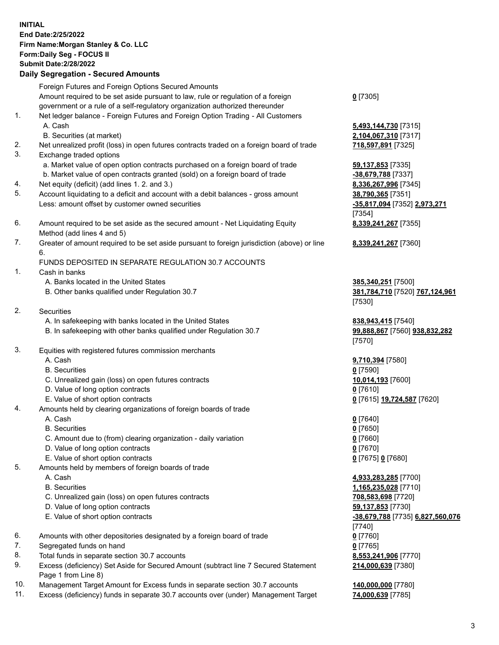## **INITIAL End Date:2/25/2022 Firm Name:Morgan Stanley & Co. LLC Form:Daily Seg - FOCUS II Submit Date:2/28/2022 Daily Segregation - Secured Amounts** Foreign Futures and Foreign Options Secured Amounts Amount required to be set aside pursuant to law, rule or regulation of a foreign government or a rule of a self-regulatory organization authorized thereunder

- 1. Net ledger balance Foreign Futures and Foreign Option Trading All Customers A. Cash **5,493,144,730** [7315]
	- B. Securities (at market) **2,104,067,310** [7317]
- 2. Net unrealized profit (loss) in open futures contracts traded on a foreign board of trade **718,597,891** [7325]
- 3. Exchange traded options
	- a. Market value of open option contracts purchased on a foreign board of trade **59,137,853** [7335]
	- b. Market value of open contracts granted (sold) on a foreign board of trade **-38,679,788** [7337]
- 4. Net equity (deficit) (add lines 1. 2. and 3.) **8,336,267,996** [7345]
- 5. Account liquidating to a deficit and account with a debit balances gross amount **38,790,365** [7351] Less: amount offset by customer owned securities **-35,817,094** [7352] **2,973,271**
- 6. Amount required to be set aside as the secured amount Net Liquidating Equity Method (add lines 4 and 5)
- 7. Greater of amount required to be set aside pursuant to foreign jurisdiction (above) or line 6.

## FUNDS DEPOSITED IN SEPARATE REGULATION 30.7 ACCOUNTS

- 1. Cash in banks
	- A. Banks located in the United States **385,340,251** [7500]
	- B. Other banks qualified under Regulation 30.7 **381,784,710** [7520] **767,124,961**
- 2. Securities
	- A. In safekeeping with banks located in the United States **838,943,415** [7540]
	- B. In safekeeping with other banks qualified under Regulation 30.7 **99,888,867** [7560] **938,832,282**
- 3. Equities with registered futures commission merchants
	-
	- B. Securities **0** [7590]
	- C. Unrealized gain (loss) on open futures contracts **10,014,193** [7600]
	- D. Value of long option contracts **0** [7610]
	- E. Value of short option contracts **0** [7615] **19,724,587** [7620]
- 4. Amounts held by clearing organizations of foreign boards of trade
	-
	- B. Securities **0** [7650]
	- C. Amount due to (from) clearing organization daily variation **0** [7660]
	- D. Value of long option contracts **0** [7670]
	- E. Value of short option contracts **0** [7675] **0** [7680]
- 5. Amounts held by members of foreign boards of trade
	-
	-
	- C. Unrealized gain (loss) on open futures contracts **708,583,698** [7720]
	- D. Value of long option contracts **59,137,853** [7730]
	- E. Value of short option contracts **-38,679,788** [7735] **6,827,560,076**
- 6. Amounts with other depositories designated by a foreign board of trade **0** [7760]
- 7. Segregated funds on hand **0** [7765]
- 8. Total funds in separate section 30.7 accounts **8,553,241,906** [7770]
- 9. Excess (deficiency) Set Aside for Secured Amount (subtract line 7 Secured Statement Page 1 from Line 8)
- 10. Management Target Amount for Excess funds in separate section 30.7 accounts **140,000,000** [7780]
- 11. Excess (deficiency) funds in separate 30.7 accounts over (under) Management Target **74,000,639** [7785]

**0** [7305]

[7354] **8,339,241,267** [7355]

**8,339,241,267** [7360]

[7530]

[7570]

A. Cash **9,710,394** [7580]

A. Cash **0** [7640]

 A. Cash **4,933,283,285** [7700] B. Securities **1,165,235,028** [7710] [7740] **214,000,639** [7380]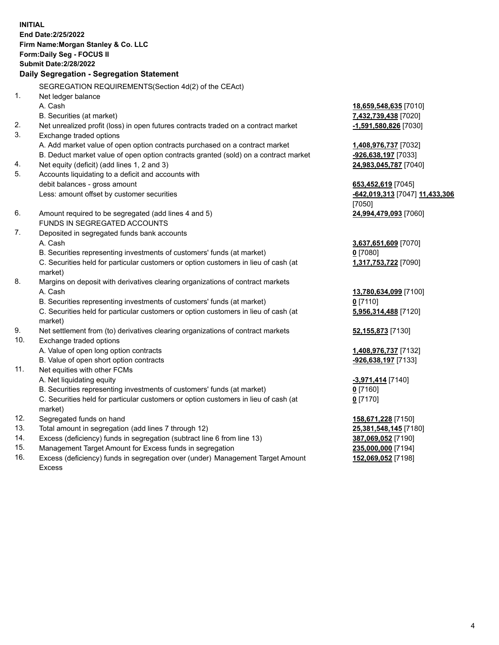**INITIAL End Date:2/25/2022 Firm Name:Morgan Stanley & Co. LLC Form:Daily Seg - FOCUS II Submit Date:2/28/2022 Daily Segregation - Segregation Statement** SEGREGATION REQUIREMENTS(Section 4d(2) of the CEAct) 1. Net ledger balance A. Cash **18,659,548,635** [7010] B. Securities (at market) **7,432,739,438** [7020] 2. Net unrealized profit (loss) in open futures contracts traded on a contract market **-1,591,580,826** [7030] 3. Exchange traded options A. Add market value of open option contracts purchased on a contract market **1,408,976,737** [7032] B. Deduct market value of open option contracts granted (sold) on a contract market **-926,638,197** [7033] 4. Net equity (deficit) (add lines 1, 2 and 3) **24,983,045,787** [7040] 5. Accounts liquidating to a deficit and accounts with debit balances - gross amount **653,452,619** [7045] Less: amount offset by customer securities **-642,019,313** [7047] **11,433,306** [7050] 6. Amount required to be segregated (add lines 4 and 5) **24,994,479,093** [7060] FUNDS IN SEGREGATED ACCOUNTS 7. Deposited in segregated funds bank accounts A. Cash **3,637,651,609** [7070] B. Securities representing investments of customers' funds (at market) **0** [7080] C. Securities held for particular customers or option customers in lieu of cash (at market) **1,317,753,722** [7090] 8. Margins on deposit with derivatives clearing organizations of contract markets A. Cash **13,780,634,099** [7100] B. Securities representing investments of customers' funds (at market) **0** [7110] C. Securities held for particular customers or option customers in lieu of cash (at market) **5,956,314,488** [7120] 9. Net settlement from (to) derivatives clearing organizations of contract markets **52,155,873** [7130] 10. Exchange traded options A. Value of open long option contracts **1,408,976,737** [7132] B. Value of open short option contracts **-926,638,197** [7133] 11. Net equities with other FCMs A. Net liquidating equity **-3,971,414** [7140] B. Securities representing investments of customers' funds (at market) **0** [7160] C. Securities held for particular customers or option customers in lieu of cash (at market) **0** [7170] 12. Segregated funds on hand **158,671,228** [7150] 13. Total amount in segregation (add lines 7 through 12) **25,381,548,145** [7180] 14. Excess (deficiency) funds in segregation (subtract line 6 from line 13) **387,069,052** [7190] 15. Management Target Amount for Excess funds in segregation **235,000,000** [7194]

16. Excess (deficiency) funds in segregation over (under) Management Target Amount Excess

**152,069,052** [7198]